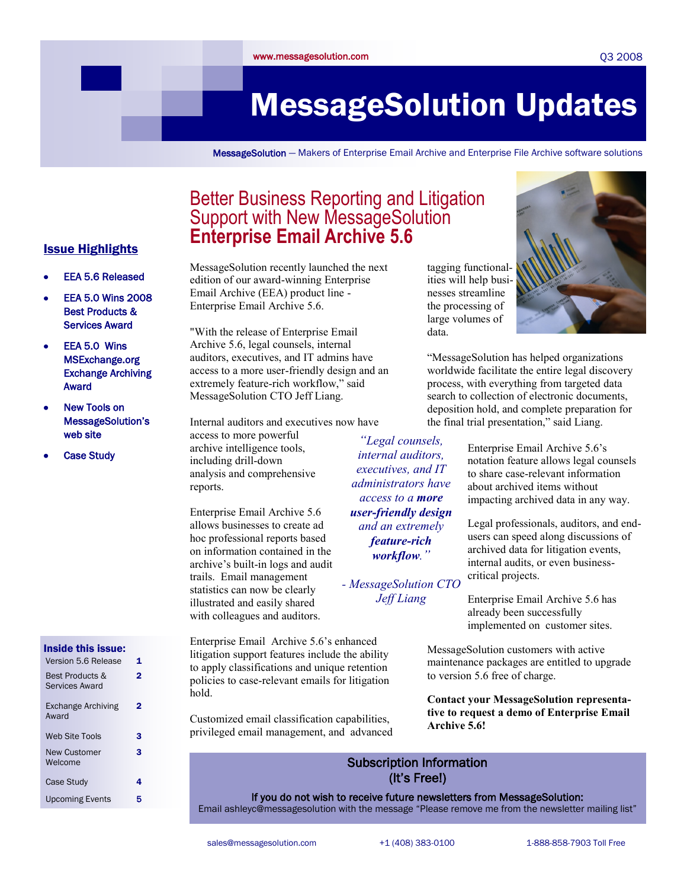#### Q3 2008

# MessageSolution Updates

MessageSolution — Makers of Enterprise Email Archive and Enterprise File Archive software solutions

data.

### Better Business Reporting and Litigation Support with New MessageSolution **Enterprise Email Archive 5.6**

### Issue Highlights

- EEA 5.6 Released
- EEA 5.0 Wins 2008 Best Products & Services Award
- EEA 5.0 Wins MSExchange.org Exchange Archiving Award
- New Tools on MessageSolution's web site
- Case Study

#### Inside this issue: Version 5.6 Release 1 Best Products & Services Award 2 Exchange Archiving Award  $\overline{2}$ Web Site Tools 3 New Customer Welcome 3 Case Study **4** Upcoming Events 5

MessageSolution recently launched the next edition of our award-winning Enterprise Email Archive (EEA) product line - Enterprise Email Archive 5.6.

"With the release of Enterprise Email Archive 5.6, legal counsels, internal auditors, executives, and IT admins have access to a more user-friendly design and an extremely feature-rich workflow," said MessageSolution CTO Jeff Liang.

Internal auditors and executives now have access to more powerful archive intelligence tools, including drill-down analysis and comprehensive reports. *―Legal counsels, internal auditors, executives, and IT administrators have access to a more* 

Enterprise Email Archive 5.6 allows businesses to create ad hoc professional reports based on information contained in the archive"s built-in logs and audit trails. Email management statistics can now be clearly illustrated and easily shared with colleagues and auditors.

Enterprise Email Archive 5.6"s enhanced litigation support features include the ability to apply classifications and unique retention policies to case-relevant emails for litigation hold.

Customized email classification capabilities, privileged email management, and advanced

> Subscription Information (It's Free!)

If you do not wish to receive future newsletters from MessageSolution:

Email ashleyc@messagesolution with the message "Please remove me from the newsletter mailing list"



"MessageSolution has helped organizations worldwide facilitate the entire legal discovery process, with everything from targeted data search to collection of electronic documents, deposition hold, and complete preparation for the final trial presentation," said Liang.

> Enterprise Email Archive 5.6"s notation feature allows legal counsels to share case-relevant information about archived items without impacting archived data in any way.

Legal professionals, auditors, and endusers can speed along discussions of archived data for litigation events, internal audits, or even businesscritical projects.

Enterprise Email Archive 5.6 has already been successfully implemented on customer sites.

MessageSolution customers with active maintenance packages are entitled to upgrade to version 5.6 free of charge.

**Contact your MessageSolution representative to request a demo of Enterprise Email Archive 5.6!** 

*user-friendly design and an extremely feature-rich workflow.‖*

*- MessageSolution CTO Jeff Liang*

# tagging functionalities will help businesses streamline the processing of large volumes of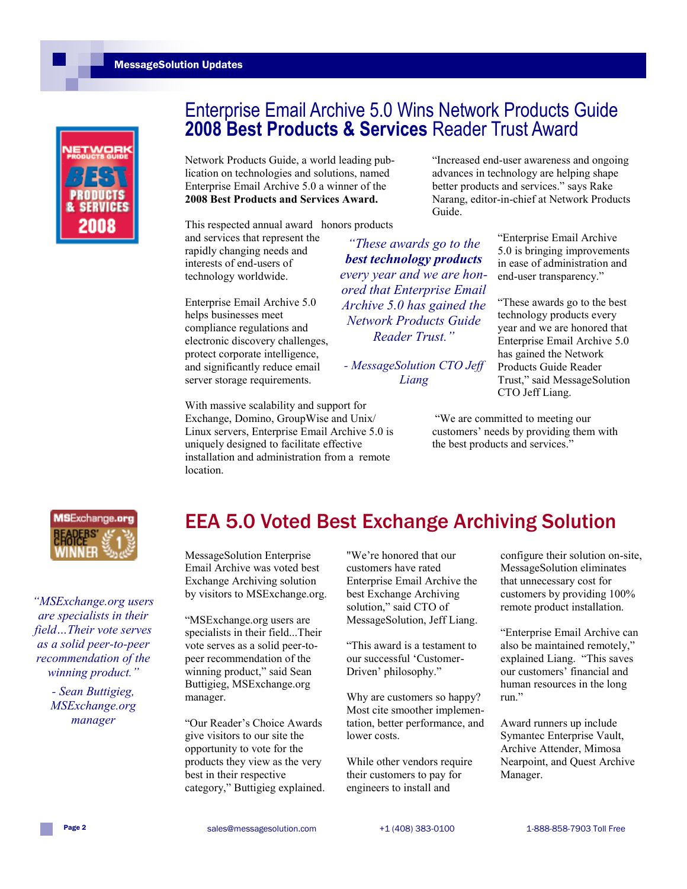#### MessageSolution Updates



### Enterprise Email Archive 5.0 Wins Network Products Guide **2008 Best Products & Services** Reader Trust Award

*―These awards go to the best technology products every year and we are honored that Enterprise Email Archive 5.0 has gained the Network Products Guide Reader Trust.‖* 

Network Products Guide, a world leading publication on technologies and solutions, named Enterprise Email Archive 5.0 a winner of the **2008 Best Products and Services Award.** 

This respected annual award honors products

and services that represent the rapidly changing needs and interests of end-users of technology worldwide.

Enterprise Email Archive 5.0 helps businesses meet compliance regulations and electronic discovery challenges, protect corporate intelligence, and significantly reduce email server storage requirements.

With massive scalability and support for Exchange, Domino, GroupWise and Unix/ Linux servers, Enterprise Email Archive 5.0 is uniquely designed to facilitate effective *- MessageSolution CTO Jeff Liang*

installation and administration from a remote

"Increased end-user awareness and ongoing advances in technology are helping shape better products and services." says Rake Narang, editor-in-chief at Network Products Guide.

> "Enterprise Email Archive 5.0 is bringing improvements in ease of administration and end-user transparency."

> "These awards go to the best technology products every year and we are honored that Enterprise Email Archive 5.0 has gained the Network Products Guide Reader Trust," said MessageSolution CTO Jeff Liang.

"We are committed to meeting our customers" needs by providing them with the best products and services."



*―MSExchange.org users are specialists in their field…Their vote serves as a solid peer-to-peer recommendation of the winning product.‖*

> *- Sean Buttigieg, MSExchange.org manager*

## EEA 5.0 Voted Best Exchange Archiving Solution

MessageSolution Enterprise Email Archive was voted best Exchange Archiving solution by visitors to MSExchange.org.

location.

"MSExchange.org users are specialists in their field...Their vote serves as a solid peer-topeer recommendation of the winning product," said Sean Buttigieg, MSExchange.org manager.

"Our Reader"s Choice Awards give visitors to our site the opportunity to vote for the products they view as the very best in their respective category," Buttigieg explained.

"We"re honored that our customers have rated Enterprise Email Archive the best Exchange Archiving solution," said CTO of MessageSolution, Jeff Liang.

"This award is a testament to our successful "Customer-Driven" philosophy."

Why are customers so happy? Most cite smoother implementation, better performance, and lower costs.

While other vendors require their customers to pay for engineers to install and

configure their solution on-site, MessageSolution eliminates that unnecessary cost for customers by providing 100% remote product installation.

"Enterprise Email Archive can also be maintained remotely," explained Liang. "This saves our customers" financial and human resources in the long run."

Award runners up include Symantec Enterprise Vault, Archive Attender, Mimosa Nearpoint, and Quest Archive Manager.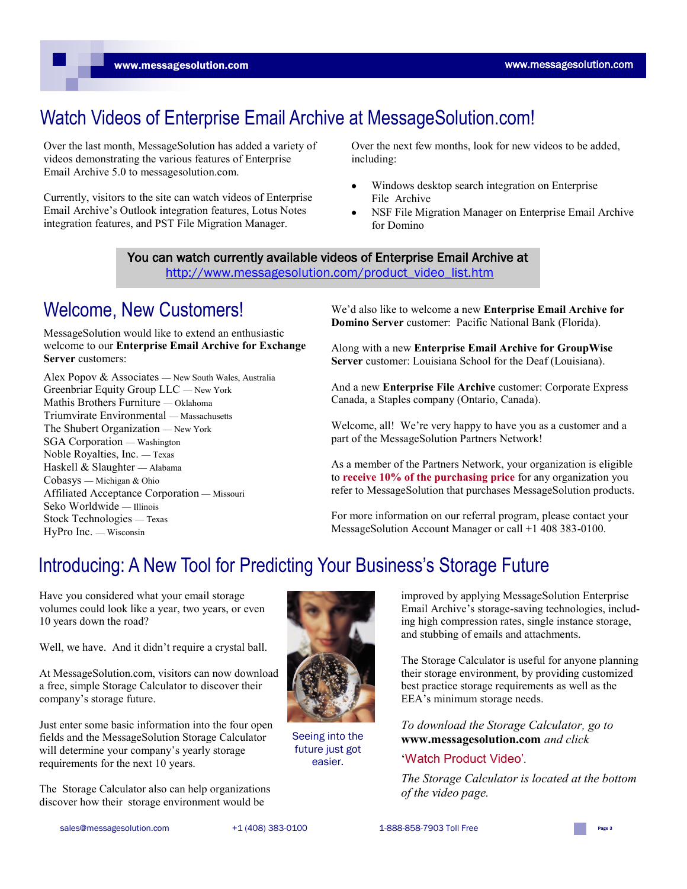www.messagesolution.com

# Watch Videos of Enterprise Email Archive at MessageSolution.com!

Over the last month, MessageSolution has added a variety of videos demonstrating the various features of Enterprise Email Archive 5.0 to messagesolution.com.

Currently, visitors to the site can watch videos of Enterprise Email Archive"s Outlook integration features, Lotus Notes integration features, and PST File Migration Manager.

Over the next few months, look for new videos to be added, including:

- Windows desktop search integration on Enterprise  $\bullet$ File Archive
- NSF File Migration Manager on Enterprise Email Archive for Domino

You can watch currently available videos of Enterprise Email Archive at [http://www.messagesolution.com/product\\_video\\_list.htm](http://www.messagesolution.com/product_video_list.htm)

### Welcome, New Customers!

MessageSolution would like to extend an enthusiastic welcome to our **Enterprise Email Archive for Exchange Server** customers:

Alex Popov & Associates — New South Wales, Australia Greenbriar Equity Group LLC — New York Mathis Brothers Furniture — Oklahoma Triumvirate Environmental — Massachusetts The Shubert Organization — New York SGA Corporation — Washington Noble Royalties, Inc. — Texas Haskell & Slaughter — Alabama Cobasys — Michigan & Ohio Affiliated Acceptance Corporation — Missouri Seko Worldwide — Illinois Stock Technologies — Texas HyPro Inc. — Wisconsin

We"d also like to welcome a new **Enterprise Email Archive for Domino Server** customer: Pacific National Bank (Florida).

Along with a new **Enterprise Email Archive for GroupWise**  Server customer: Louisiana School for the Deaf (Louisiana).

And a new **Enterprise File Archive** customer: Corporate Express Canada, a Staples company (Ontario, Canada).

Welcome, all! We're very happy to have you as a customer and a part of the MessageSolution Partners Network!

As a member of the Partners Network, your organization is eligible to **receive 10% of the purchasing price** for any organization you refer to MessageSolution that purchases MessageSolution products.

For more information on our referral program, please contact your MessageSolution Account Manager or call +1 408 383-0100.

# Introducing: A New Tool for Predicting Your Business's Storage Future

Have you considered what your email storage volumes could look like a year, two years, or even 10 years down the road?

Well, we have. And it didn"t require a crystal ball.

At MessageSolution.com, visitors can now download a free, simple Storage Calculator to discover their company"s storage future.

Just enter some basic information into the four open fields and the MessageSolution Storage Calculator will determine your company's yearly storage requirements for the next 10 years.

The Storage Calculator also can help organizations discover how their storage environment would be



Seeing into the future just got easier.

improved by applying MessageSolution Enterprise Email Archive"s storage-saving technologies, including high compression rates, single instance storage, and stubbing of emails and attachments.

The Storage Calculator is useful for anyone planning their storage environment, by providing customized best practice storage requirements as well as the EEA"s minimum storage needs.

*To download the Storage Calculator, go to*  **www.messagesolution.com** *and click* 

#### "Watch Product Video'*.*

*The Storage Calculator is located at the bottom of the video page.*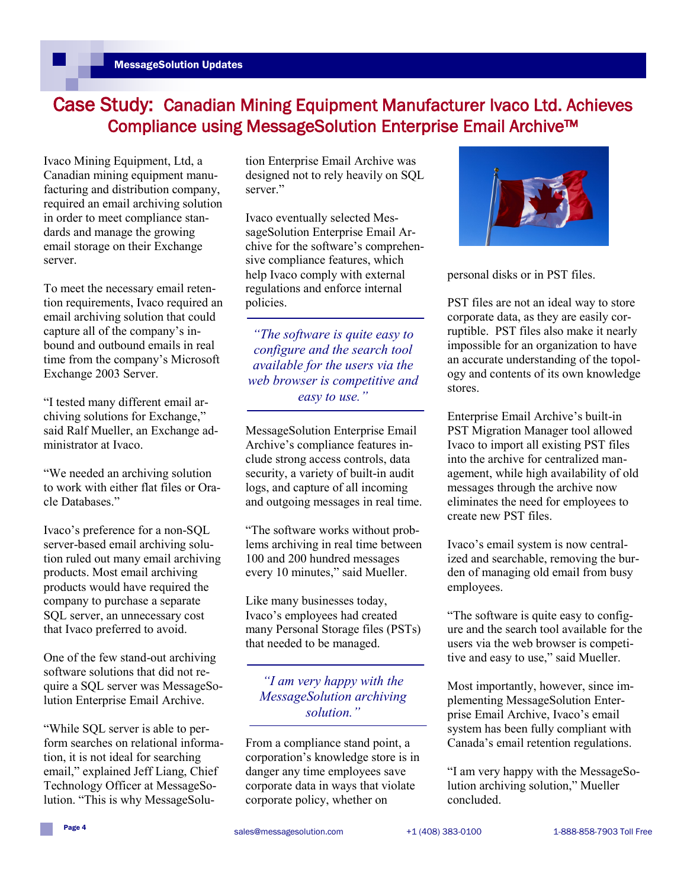### Case Study: Canadian Mining Equipment Manufacturer Ivaco Ltd. Achieves Compliance using MessageSolution Enterprise Email Archive™

Ivaco Mining Equipment, Ltd, a Canadian mining equipment manufacturing and distribution company, required an email archiving solution in order to meet compliance standards and manage the growing email storage on their Exchange server.

To meet the necessary email retention requirements, Ivaco required an email archiving solution that could capture all of the company"s inbound and outbound emails in real time from the company"s Microsoft Exchange 2003 Server.

"I tested many different email archiving solutions for Exchange," said Ralf Mueller, an Exchange administrator at Ivaco.

"We needed an archiving solution to work with either flat files or Oracle Databases."

Ivaco"s preference for a non-SQL server-based email archiving solution ruled out many email archiving products. Most email archiving products would have required the company to purchase a separate SQL server, an unnecessary cost that Ivaco preferred to avoid.

One of the few stand-out archiving software solutions that did not require a SQL server was MessageSolution Enterprise Email Archive.

"While SQL server is able to perform searches on relational information, it is not ideal for searching email," explained Jeff Liang, Chief Technology Officer at MessageSolution. "This is why MessageSolution Enterprise Email Archive was designed not to rely heavily on SQL server<sup>"</sup>

Ivaco eventually selected MessageSolution Enterprise Email Archive for the software"s comprehensive compliance features, which help Ivaco comply with external regulations and enforce internal policies.

*―The software is quite easy to configure and the search tool available for the users via the web browser is competitive and easy to use.‖*

MessageSolution Enterprise Email Archive"s compliance features include strong access controls, data security, a variety of built-in audit logs, and capture of all incoming and outgoing messages in real time.

"The software works without problems archiving in real time between 100 and 200 hundred messages every 10 minutes," said Mueller.

Like many businesses today, Ivaco"s employees had created many Personal Storage files (PSTs) that needed to be managed.

### *―I am very happy with the MessageSolution archiving solution.‖*

From a compliance stand point, a corporation"s knowledge store is in danger any time employees save corporate data in ways that violate corporate policy, whether on



personal disks or in PST files.

PST files are not an ideal way to store corporate data, as they are easily corruptible. PST files also make it nearly impossible for an organization to have an accurate understanding of the topology and contents of its own knowledge stores.

Enterprise Email Archive"s built-in PST Migration Manager tool allowed Ivaco to import all existing PST files into the archive for centralized management, while high availability of old messages through the archive now eliminates the need for employees to create new PST files.

Ivaco"s email system is now centralized and searchable, removing the burden of managing old email from busy employees.

"The software is quite easy to configure and the search tool available for the users via the web browser is competitive and easy to use," said Mueller.

Most importantly, however, since implementing MessageSolution Enterprise Email Archive, Ivaco"s email system has been fully compliant with Canada"s email retention regulations.

"I am very happy with the MessageSolution archiving solution," Mueller concluded.